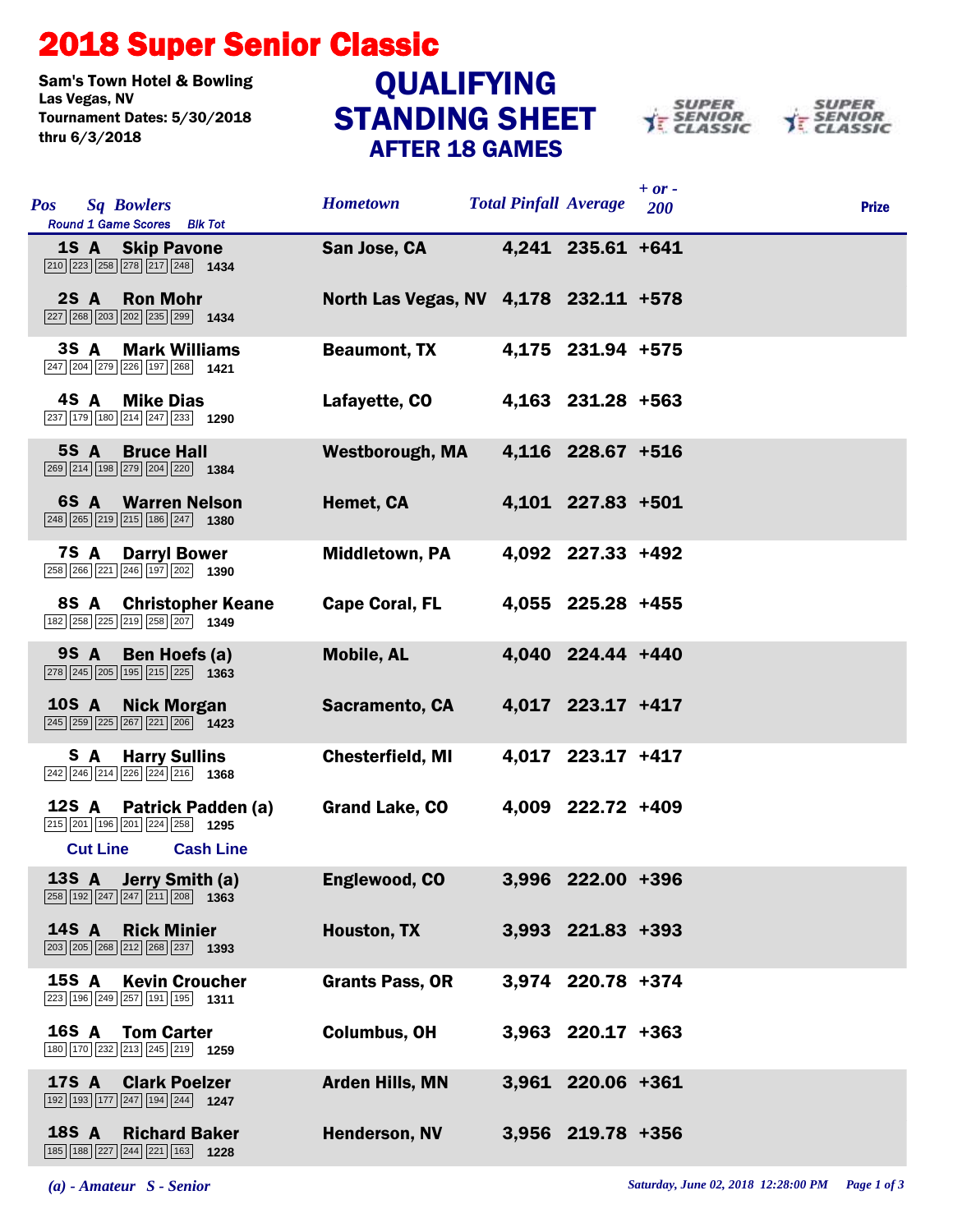## 2018 Super Senior Classic

Sam's Town Hotel & Bowling<br>Las Vegas, NV Tournament Dates: 5/30/2018 thru 6/3/2018

## STANDING SHEET AFTER 18 GAMES **QUALIFYING**





| <b>Pos</b>   | <b>Sq Bowlers</b><br>Round 1 Game Scores Blk Tot                                                                                      | <b>Hometown</b>                       | <b>Total Pinfall Average</b> |                   | $+$ or -<br>200 | <b>Prize</b> |
|--------------|---------------------------------------------------------------------------------------------------------------------------------------|---------------------------------------|------------------------------|-------------------|-----------------|--------------|
|              | <b>1S A</b> Skip Pavone<br>$\boxed{210}$ $\boxed{223}$ $\boxed{258}$ $\boxed{278}$ $\boxed{217}$ $\boxed{248}$ <b>1434</b>            | San Jose, CA                          |                              | 4,241 235.61 +641 |                 |              |
|              | 2S A Ron Mohr<br>$\boxed{227}$ $\boxed{268}$ $\boxed{203}$ $\boxed{202}$ $\boxed{235}$ $\boxed{299}$ 1434                             | North Las Vegas, NV 4,178 232.11 +578 |                              |                   |                 |              |
|              | 3S A<br><b>Mark Williams</b><br>247 204 279 226 197 268 1421                                                                          | <b>Beaumont, TX</b>                   |                              | 4,175 231.94 +575 |                 |              |
|              | 4S A<br><b>Mike Dias</b><br>237 179 180 214 247 233 1290                                                                              | Lafayette, CO                         |                              | 4,163 231.28 +563 |                 |              |
|              | 5S A<br><b>Bruce Hall</b><br>269 214 198 279 204 220 1384                                                                             | <b>Westborough, MA</b>                |                              | 4,116 228.67 +516 |                 |              |
|              | <b>6S A</b> Warren Nelson<br>$\boxed{248}$ $\boxed{265}$ $\boxed{219}$ $\boxed{215}$ $\boxed{186}$ $\boxed{247}$ <b>1380</b>          | Hemet, CA                             |                              | 4,101 227.83 +501 |                 |              |
|              | <b>7S A</b><br><b>Darryl Bower</b><br>$\boxed{258}$ $\boxed{266}$ $\boxed{221}$ $\boxed{246}$ $\boxed{197}$ $\boxed{202}$ <b>1390</b> | <b>Middletown, PA</b>                 |                              | 4,092 227.33 +492 |                 |              |
|              | 8S A<br><b>Christopher Keane</b><br>182 258 225 219 258 207 1349                                                                      | <b>Cape Coral, FL</b>                 |                              | 4,055 225.28 +455 |                 |              |
|              | 9S A<br>Ben Hoefs (a)<br>278 245 205 195 215 225 1363                                                                                 | <b>Mobile, AL</b>                     |                              | 4,040 224.44 +440 |                 |              |
| <b>10S A</b> | <b>Nick Morgan</b><br>$\boxed{245}$ $\boxed{259}$ $\boxed{225}$ $\boxed{267}$ $\boxed{221}$ $\boxed{206}$ 1423                        | Sacramento, CA                        |                              | 4,017 223.17 +417 |                 |              |
|              | S A<br><b>Harry Sullins</b><br>$\boxed{242}$ $\boxed{246}$ $\boxed{214}$ $\boxed{226}$ $\boxed{224}$ $\boxed{216}$ <b>1368</b>        | <b>Chesterfield, MI</b>               |                              | 4,017 223.17 +417 |                 |              |
| 12S A        | Patrick Padden (a)<br>215 201 196 201 224 258 1295<br><b>Cash Line</b><br><b>Cut Line</b>                                             | <b>Grand Lake, CO</b>                 |                              | 4,009 222.72 +409 |                 |              |
|              | 13S A Jerry Smith (a)<br>$\boxed{258}$ 192 247 247 211 208 1363                                                                       | Englewood, CO                         |                              | 3,996 222.00 +396 |                 |              |
| <b>14S A</b> | <b>Rick Minier</b><br>$\boxed{203}$ $\boxed{205}$ $\boxed{268}$ $\boxed{212}$ $\boxed{268}$ $\boxed{237}$ <b>1393</b>                 | <b>Houston, TX</b>                    |                              | 3,993 221.83 +393 |                 |              |
| 15S A        | <b>Kevin Croucher</b><br>223 196 249 257 191 195 1311                                                                                 | <b>Grants Pass, OR</b>                |                              | 3,974 220.78 +374 |                 |              |
| 16S A        | <b>Tom Carter</b><br>180 170 232 213 245 219 1259                                                                                     | <b>Columbus, OH</b>                   |                              | 3,963 220.17 +363 |                 |              |
| <b>17S A</b> | <b>Clark Poelzer</b><br>192 193 177 247 194 244 1247                                                                                  | <b>Arden Hills, MN</b>                |                              | 3,961 220.06 +361 |                 |              |
| <b>18S A</b> | <b>Richard Baker</b><br>185 188 227 244 221 163 1228                                                                                  | Henderson, NV                         |                              | 3,956 219.78 +356 |                 |              |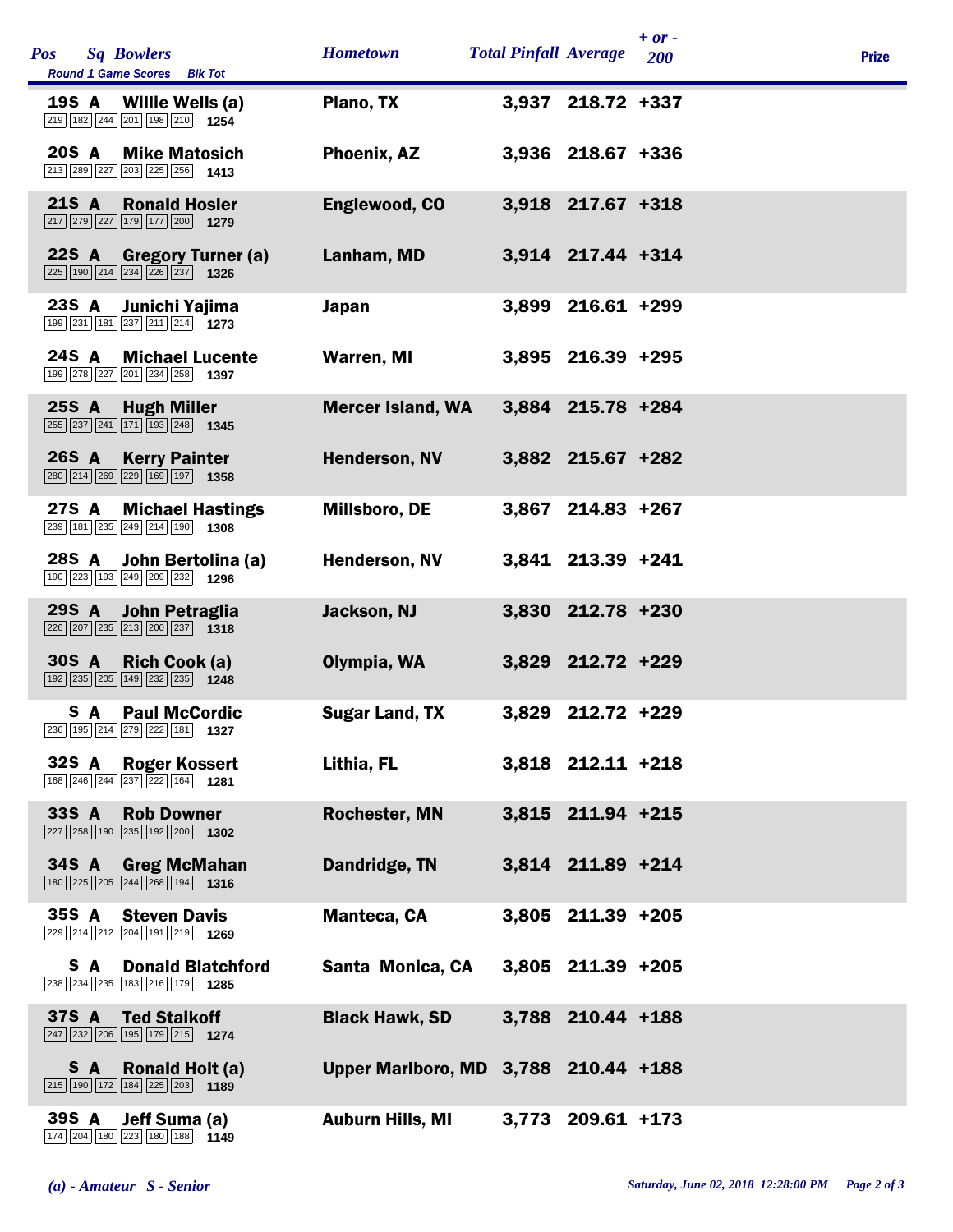| <b>Pos</b><br><b>Sq Bowlers</b><br>Round 1 Game Scores Blk Tot                                                                          | <b>Hometown</b>                      | <b>Total Pinfall Average</b> |                     | $+ or -$<br>200 | <b>Prize</b> |
|-----------------------------------------------------------------------------------------------------------------------------------------|--------------------------------------|------------------------------|---------------------|-----------------|--------------|
| 19S A Willie Wells (a)<br>219 182 244 201 198 210 1254                                                                                  | Plano, TX                            |                              | 3,937 218.72 +337   |                 |              |
| 20S A<br><b>Mike Matosich</b><br>213 289 227 203 225 256 1413                                                                           | Phoenix, AZ                          |                              | 3,936 218.67 +336   |                 |              |
| <b>21S A</b><br><b>Ronald Hosler</b><br>$\boxed{217}$ $\boxed{279}$ $\boxed{227}$ $\boxed{179}$ $\boxed{177}$ $\boxed{200}$ <b>1279</b> | Englewood, CO                        |                              | 3,918 217.67 +318   |                 |              |
| 22S A Gregory Turner (a)<br>225 190 214 234 226 237 1326                                                                                | Lanham, MD                           |                              | 3,914 217.44 +314   |                 |              |
| 23S A<br>Junichi Yajima<br>199 231 181 237 211 214 1273                                                                                 | <b>Japan</b>                         |                              | 3,899 216.61 +299   |                 |              |
| 24S A<br><b>Michael Lucente</b><br>199 278 227 201 234 258 1397                                                                         | <b>Warren, MI</b>                    |                              | 3,895 216.39 +295   |                 |              |
| $25S$ $A$<br><b>Hugh Miller</b><br>$\boxed{255}$ $\boxed{237}$ $\boxed{241}$ $\boxed{171}$ $\boxed{193}$ $\boxed{248}$ <b>1345</b>      | <b>Mercer Island, WA</b>             |                              | 3,884 215.78 +284   |                 |              |
| <b>26S A</b><br><b>Kerry Painter</b><br>280 214 269 229 169 197 1358                                                                    | Henderson, NV                        |                              | 3,882 215.67 +282   |                 |              |
| 27S A<br><b>Michael Hastings</b><br>$\boxed{239}$ 181 $\boxed{235}$ $\boxed{249}$ $\boxed{214}$ 190 <b>1308</b>                         | Millsboro, DE                        |                              | 3,867 214.83 +267   |                 |              |
| 28S A John Bertolina (a)<br>190 223 193 249 209 232 1296                                                                                | Henderson, NV                        |                              | 3,841 213.39 +241   |                 |              |
| 29S A<br>John Petraglia<br>$\boxed{226}$ $\boxed{207}$ $\boxed{235}$ $\boxed{213}$ $\boxed{200}$ $\boxed{237}$ <b>1318</b>              | Jackson, NJ                          |                              | 3,830 212.78 +230   |                 |              |
| 30S A Rich Cook (a)<br>$\boxed{192}$ $\boxed{235}$ $\boxed{205}$ $\boxed{149}$ $\boxed{232}$ $\boxed{235}$ <b>1248</b>                  | Olympia, WA                          |                              | 3,829 212.72 +229   |                 |              |
| <b>S</b> A Paul McCordic<br>236 195 214 279 222 181 1327                                                                                | <b>Sugar Land, TX</b>                |                              | 3,829 212.72 +229   |                 |              |
| 32S A<br><b>Roger Kossert</b><br>168 246 244 237 222 164 1281                                                                           | Lithia, FL                           |                              | 3,818 212.11 +218   |                 |              |
| 33S A<br><b>Rob Downer</b><br>$\boxed{227}$ $\boxed{258}$ 190 $\boxed{235}$ 192 $\boxed{200}$ 1302                                      | <b>Rochester, MN</b>                 |                              | 3,815 211.94 +215   |                 |              |
| 34S A Greg McMahan<br>$\boxed{180}$ $\boxed{225}$ $\boxed{205}$ $\boxed{244}$ $\boxed{268}$ $\boxed{194}$ <b>1316</b>                   | Dandridge, TN                        |                              | 3,814 211.89 +214   |                 |              |
| 35S A<br><b>Steven Davis</b><br>229 214 212 204 191 219 1269                                                                            | <b>Manteca, CA</b>                   |                              | $3,805$ 211.39 +205 |                 |              |
| <b>Donald Blatchford</b><br>S A<br>238 234 235 183 216 179 1285                                                                         | Santa Monica, CA                     |                              | 3,805 211.39 +205   |                 |              |
| 37S A<br><b>Ted Staikoff</b><br>$\boxed{247}$ $\boxed{232}$ $\boxed{206}$ $\boxed{195}$ $\boxed{179}$ $\boxed{215}$ <b>1274</b>         | <b>Black Hawk, SD</b>                |                              | 3,788 210.44 +188   |                 |              |
| Ronald Holt (a)<br>S A<br>$\boxed{215}$ 190 172 184 225 203 1189                                                                        | Upper Marlboro, MD 3,788 210.44 +188 |                              |                     |                 |              |
| 39S A<br>Jeff Suma (a)<br>174 204 180 223 180 188 1149                                                                                  | <b>Auburn Hills, MI</b>              |                              | 3,773 209.61 +173   |                 |              |